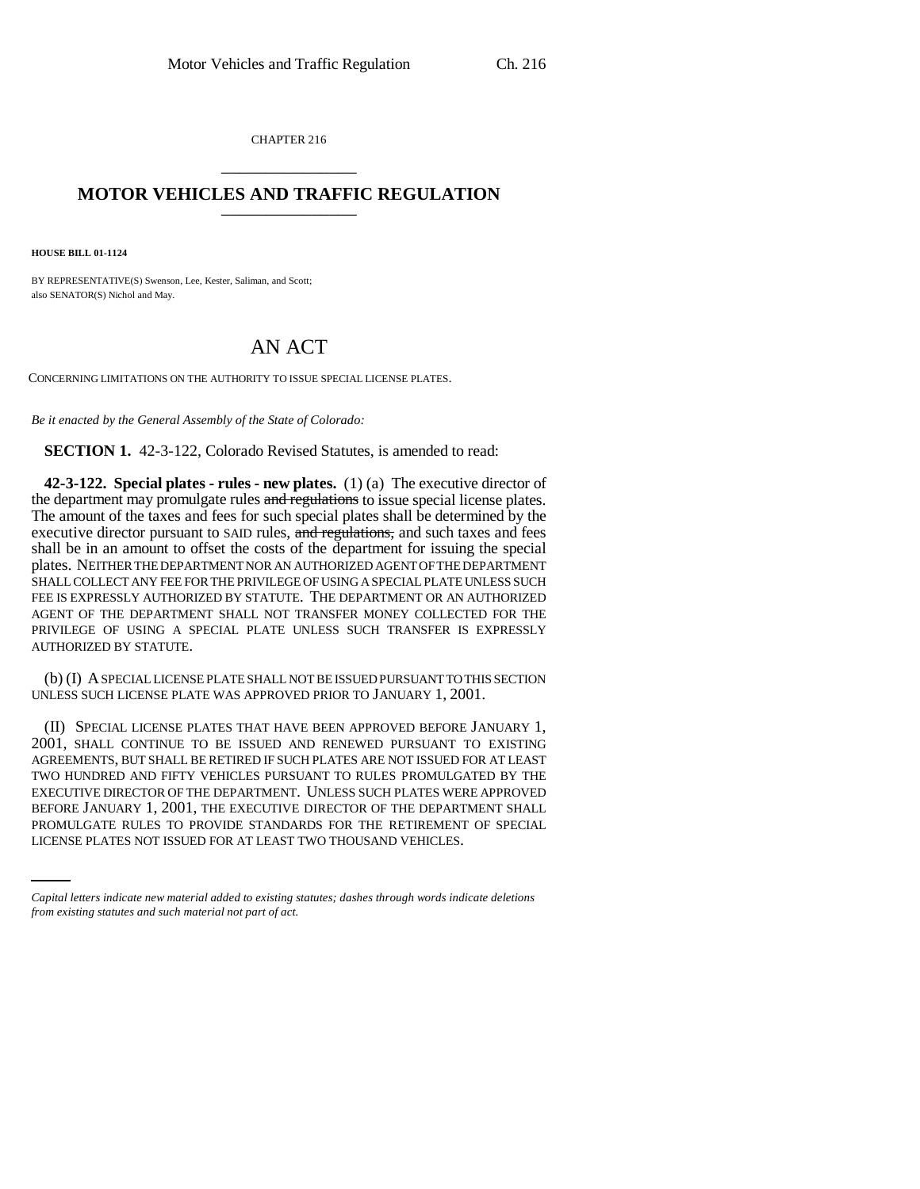CHAPTER 216 \_\_\_\_\_\_\_\_\_\_\_\_\_\_\_

## **MOTOR VEHICLES AND TRAFFIC REGULATION**

**HOUSE BILL 01-1124**

BY REPRESENTATIVE(S) Swenson, Lee, Kester, Saliman, and Scott; also SENATOR(S) Nichol and May.

## AN ACT

CONCERNING LIMITATIONS ON THE AUTHORITY TO ISSUE SPECIAL LICENSE PLATES.

*Be it enacted by the General Assembly of the State of Colorado:*

**SECTION 1.** 42-3-122, Colorado Revised Statutes, is amended to read:

**42-3-122. Special plates - rules - new plates.** (1) (a) The executive director of the department may promulgate rules and regulations to issue special license plates. The amount of the taxes and fees for such special plates shall be determined by the executive director pursuant to SAID rules, and regulations, and such taxes and fees shall be in an amount to offset the costs of the department for issuing the special plates. NEITHER THE DEPARTMENT NOR AN AUTHORIZED AGENT OF THE DEPARTMENT SHALL COLLECT ANY FEE FOR THE PRIVILEGE OF USING A SPECIAL PLATE UNLESS SUCH FEE IS EXPRESSLY AUTHORIZED BY STATUTE. THE DEPARTMENT OR AN AUTHORIZED AGENT OF THE DEPARTMENT SHALL NOT TRANSFER MONEY COLLECTED FOR THE PRIVILEGE OF USING A SPECIAL PLATE UNLESS SUCH TRANSFER IS EXPRESSLY AUTHORIZED BY STATUTE.

(b) (I) A SPECIAL LICENSE PLATE SHALL NOT BE ISSUED PURSUANT TO THIS SECTION UNLESS SUCH LICENSE PLATE WAS APPROVED PRIOR TO JANUARY 1, 2001.

BEFORE JANUARY 1, 2001, THE EXECUTIVE DIRECTOR OF THE DEPARTMENT SHALL (II) SPECIAL LICENSE PLATES THAT HAVE BEEN APPROVED BEFORE JANUARY 1, 2001, SHALL CONTINUE TO BE ISSUED AND RENEWED PURSUANT TO EXISTING AGREEMENTS, BUT SHALL BE RETIRED IF SUCH PLATES ARE NOT ISSUED FOR AT LEAST TWO HUNDRED AND FIFTY VEHICLES PURSUANT TO RULES PROMULGATED BY THE EXECUTIVE DIRECTOR OF THE DEPARTMENT. UNLESS SUCH PLATES WERE APPROVED PROMULGATE RULES TO PROVIDE STANDARDS FOR THE RETIREMENT OF SPECIAL LICENSE PLATES NOT ISSUED FOR AT LEAST TWO THOUSAND VEHICLES.

*Capital letters indicate new material added to existing statutes; dashes through words indicate deletions from existing statutes and such material not part of act.*